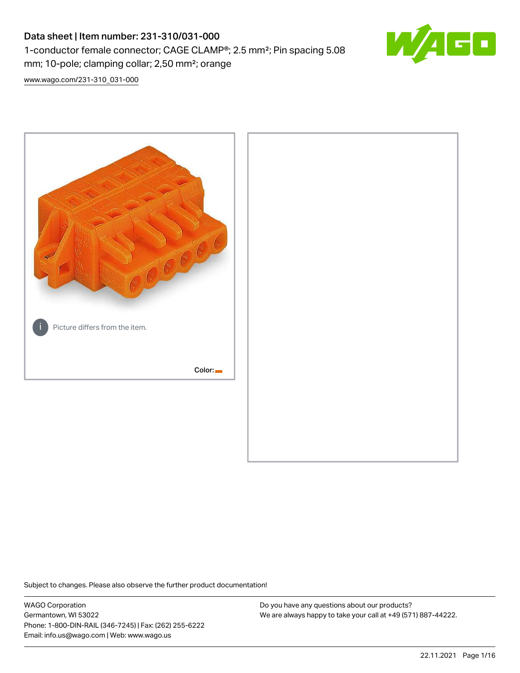## Data sheet | Item number: 231-310/031-000 1-conductor female connector; CAGE CLAMP®; 2.5 mm²; Pin spacing 5.08 mm; 10-pole; clamping collar; 2,50 mm²; orange



[www.wago.com/231-310\\_031-000](http://www.wago.com/231-310_031-000)



Subject to changes. Please also observe the further product documentation!

WAGO Corporation Germantown, WI 53022 Phone: 1-800-DIN-RAIL (346-7245) | Fax: (262) 255-6222 Email: info.us@wago.com | Web: www.wago.us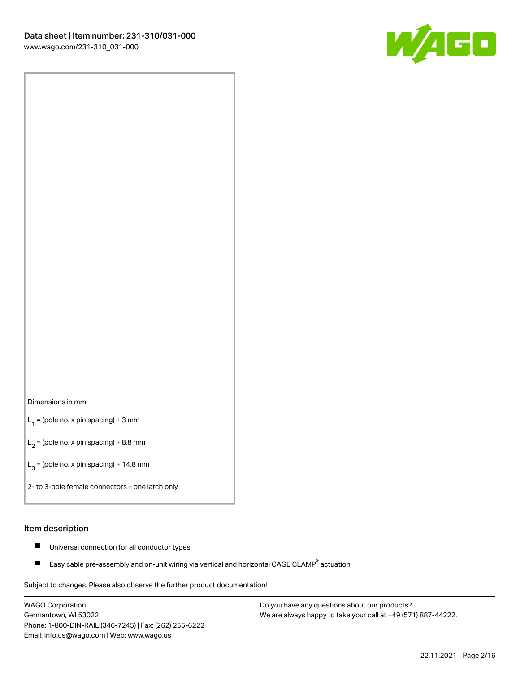

#### Dimensions in mm

 $L_1$  = (pole no. x pin spacing) + 3 mm

 $L_2$  = (pole no. x pin spacing) + 8.8 mm

 $L_3$  = (pole no. x pin spacing) + 14.8 mm

2- to 3-pole female connectors – one latch only

#### Item description

- Universal connection for all conductor types  $\blacksquare$
- Easy cable pre-assembly and on-unit wiring via vertical and horizontal CAGE CLAMP<sup>®</sup> actuation П

.<br>Subject to changes. Please also observe the further product documentation!

WAGO Corporation Germantown, WI 53022 Phone: 1-800-DIN-RAIL (346-7245) | Fax: (262) 255-6222 Email: info.us@wago.com | Web: www.wago.us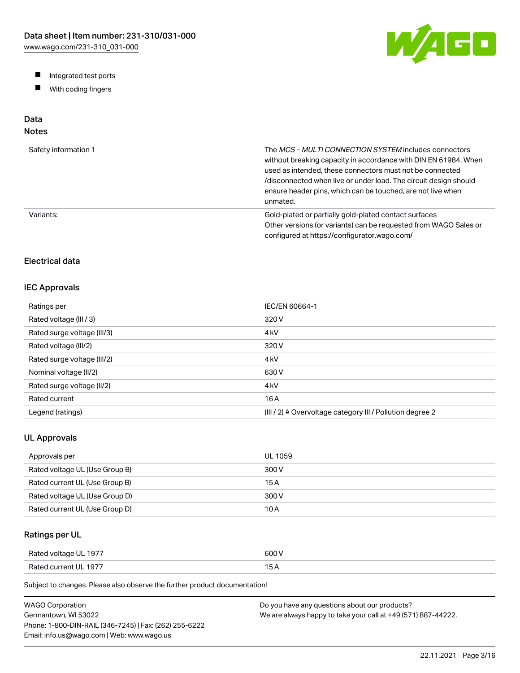W/AGO

- Integrated test ports
- $\blacksquare$ With coding fingers

## Data

## Notes

| Safety information 1 | The MCS-MULTI CONNECTION SYSTEM includes connectors<br>without breaking capacity in accordance with DIN EN 61984. When<br>used as intended, these connectors must not be connected<br>/disconnected when live or under load. The circuit design should<br>ensure header pins, which can be touched, are not live when<br>unmated. |
|----------------------|-----------------------------------------------------------------------------------------------------------------------------------------------------------------------------------------------------------------------------------------------------------------------------------------------------------------------------------|
| Variants:            | Gold-plated or partially gold-plated contact surfaces<br>Other versions (or variants) can be requested from WAGO Sales or<br>configured at https://configurator.wago.com/                                                                                                                                                         |

## Electrical data

#### IEC Approvals

| Ratings per                 | IEC/EN 60664-1                                                        |
|-----------------------------|-----------------------------------------------------------------------|
| Rated voltage (III / 3)     | 320 V                                                                 |
| Rated surge voltage (III/3) | 4 <sub>kV</sub>                                                       |
| Rated voltage (III/2)       | 320 V                                                                 |
| Rated surge voltage (III/2) | 4 <sub>kV</sub>                                                       |
| Nominal voltage (II/2)      | 630 V                                                                 |
| Rated surge voltage (II/2)  | 4 <sub>kV</sub>                                                       |
| Rated current               | 16 A                                                                  |
| Legend (ratings)            | $(III / 2)$ $\triangle$ Overvoltage category III / Pollution degree 2 |

#### UL Approvals

| Approvals per                  | <b>UL 1059</b> |
|--------------------------------|----------------|
| Rated voltage UL (Use Group B) | 300 V          |
| Rated current UL (Use Group B) | 15 A           |
| Rated voltage UL (Use Group D) | 300 V          |
| Rated current UL (Use Group D) | 10 A           |

## Ratings per UL

| Rated voltage UL 1977 | 600 V  |
|-----------------------|--------|
| Rated current UL 1977 | $\sim$ |

Subject to changes. Please also observe the further product documentation!

| WAGO Corporation                                       | Do you have any questions about our products?                 |
|--------------------------------------------------------|---------------------------------------------------------------|
| Germantown. WI 53022                                   | We are always happy to take your call at +49 (571) 887-44222. |
| Phone: 1-800-DIN-RAIL (346-7245)   Fax: (262) 255-6222 |                                                               |
| Email: info.us@wago.com   Web: www.wago.us             |                                                               |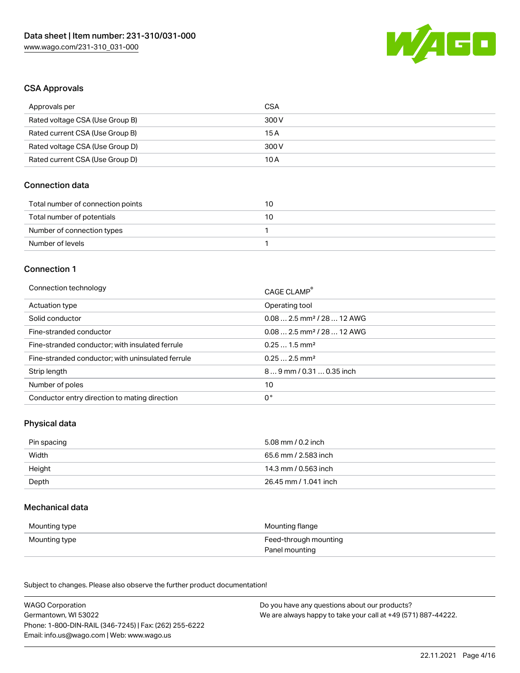

#### CSA Approvals

| Approvals per                   | CSA   |
|---------------------------------|-------|
| Rated voltage CSA (Use Group B) | 300 V |
| Rated current CSA (Use Group B) | 15 A  |
| Rated voltage CSA (Use Group D) | 300 V |
| Rated current CSA (Use Group D) | 10 A  |

#### Connection data

| Total number of connection points | 10 |
|-----------------------------------|----|
| Total number of potentials        | 10 |
| Number of connection types        |    |
| Number of levels                  |    |

#### Connection 1

| Connection technology                             | CAGE CLAMP®                            |
|---------------------------------------------------|----------------------------------------|
| Actuation type                                    | Operating tool                         |
| Solid conductor                                   | $0.082.5$ mm <sup>2</sup> / 28  12 AWG |
| Fine-stranded conductor                           | $0.082.5$ mm <sup>2</sup> / 28  12 AWG |
| Fine-stranded conductor; with insulated ferrule   | $0.251.5$ mm <sup>2</sup>              |
| Fine-stranded conductor; with uninsulated ferrule | $0.252.5$ mm <sup>2</sup>              |
| Strip length                                      | $89$ mm / 0.31  0.35 inch              |
| Number of poles                                   | 10                                     |
| Conductor entry direction to mating direction     | 0°                                     |

#### Physical data

| Pin spacing | 5.08 mm / 0.2 inch    |
|-------------|-----------------------|
| Width       | 65.6 mm / 2.583 inch  |
| Height      | 14.3 mm / 0.563 inch  |
| Depth       | 26.45 mm / 1.041 inch |

#### Mechanical data

| Mounting type | Mounting flange                         |
|---------------|-----------------------------------------|
| Mounting type | Feed-through mounting<br>Panel mounting |

Subject to changes. Please also observe the further product documentation!

| <b>WAGO Corporation</b>                                | Do you have any questions about our products?                 |
|--------------------------------------------------------|---------------------------------------------------------------|
| Germantown, WI 53022                                   | We are always happy to take your call at +49 (571) 887-44222. |
| Phone: 1-800-DIN-RAIL (346-7245)   Fax: (262) 255-6222 |                                                               |
| Email: info.us@wago.com   Web: www.wago.us             |                                                               |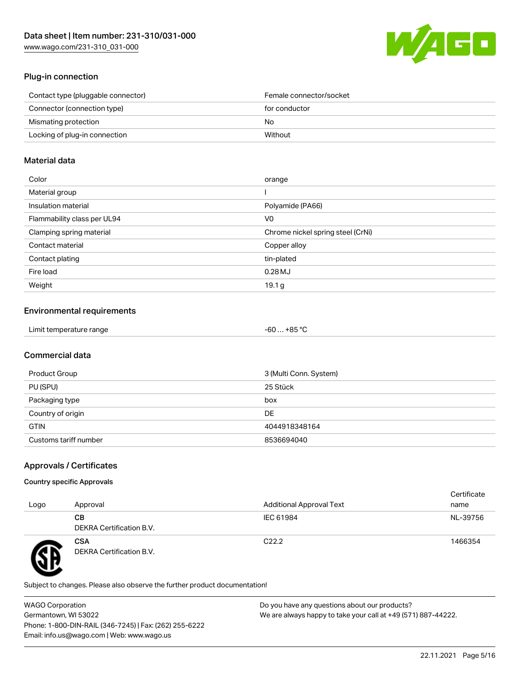

#### Plug-in connection

| Contact type (pluggable connector) | Female connector/socket |
|------------------------------------|-------------------------|
| Connector (connection type)        | for conductor           |
| Mismating protection               | No.                     |
| Locking of plug-in connection      | Without                 |
|                                    |                         |

#### Material data

| Color                       | orange                            |
|-----------------------------|-----------------------------------|
| Material group              |                                   |
| Insulation material         | Polyamide (PA66)                  |
| Flammability class per UL94 | V0                                |
| Clamping spring material    | Chrome nickel spring steel (CrNi) |
| Contact material            | Copper alloy                      |
| Contact plating             | tin-plated                        |
| Fire load                   | $0.28$ MJ                         |
| Weight                      | 19.1 <sub>g</sub>                 |

#### Environmental requirements

| Limit temperature range<br>. | . +85 °Ր<br>-60 |
|------------------------------|-----------------|
|------------------------------|-----------------|

### Commercial data

| Product Group         | 3 (Multi Conn. System) |
|-----------------------|------------------------|
| PU (SPU)              | 25 Stück               |
| Packaging type        | box                    |
| Country of origin     | DE                     |
| <b>GTIN</b>           | 4044918348164          |
| Customs tariff number | 8536694040             |

### Approvals / Certificates

#### Country specific Approvals

| Logo | Approval                               | <b>Additional Approval Text</b> | Certificate<br>name |
|------|----------------------------------------|---------------------------------|---------------------|
|      | CВ<br>DEKRA Certification B.V.         | IEC 61984                       | NL-39756            |
|      | <b>CSA</b><br>DEKRA Certification B.V. | C <sub>22.2</sub>               | 1466354             |

Subject to changes. Please also observe the further product documentation!

WAGO Corporation Germantown, WI 53022 Phone: 1-800-DIN-RAIL (346-7245) | Fax: (262) 255-6222 Email: info.us@wago.com | Web: www.wago.us Do you have any questions about our products? We are always happy to take your call at +49 (571) 887-44222.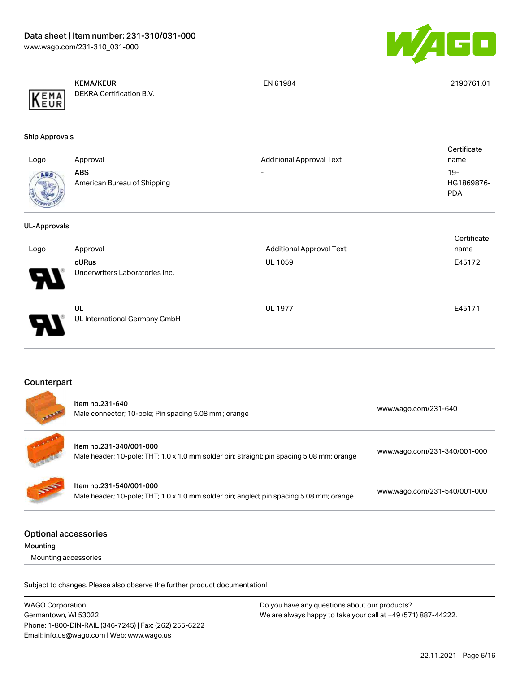

|                          | <b>KEMA/KEUR</b>         | EN 61984 | 2190761.01 |
|--------------------------|--------------------------|----------|------------|
| KEMA<br>TIR <sub>1</sub> | DEKRA Certification B.V. |          |            |

#### Ship Approvals

| Logo         | Approval                           | <b>Additional Approval Text</b> | Certificate<br>name               |
|--------------|------------------------------------|---------------------------------|-----------------------------------|
| <b>ROVED</b> | ABS<br>American Bureau of Shipping | $\overline{\phantom{0}}$        | $19-$<br>HG1869876-<br><b>PDA</b> |

#### UL-Approvals

| Logo                  | Approval                                       | <b>Additional Approval Text</b> | Certificate<br>name |
|-----------------------|------------------------------------------------|---------------------------------|---------------------|
| $\boldsymbol{\theta}$ | <b>cURus</b><br>Underwriters Laboratories Inc. | <b>UL 1059</b>                  | E45172              |
| D.                    | UL<br>UL International Germany GmbH            | <b>UL 1977</b>                  | E45171              |

#### Counterpart

| <b>All And</b> | Item no.231-640<br>Male connector; 10-pole; Pin spacing 5.08 mm; orange                                              | www.wago.com/231-640         |
|----------------|----------------------------------------------------------------------------------------------------------------------|------------------------------|
|                | Item no.231-340/001-000<br>Male header; 10-pole; THT; 1.0 x 1.0 mm solder pin; straight; pin spacing 5.08 mm; orange | www.wago.com/231-340/001-000 |
| <b>SOF</b>     | Item no.231-540/001-000<br>Male header; 10-pole; THT; 1.0 x 1.0 mm solder pin; angled; pin spacing 5.08 mm; orange   | www.wago.com/231-540/001-000 |
|                | Intional accorection                                                                                                 |                              |

#### Optional accessories

| Mounting |
|----------|
|----------|

Mounting accessories

Subject to changes. Please also observe the further product documentation!

| <b>WAGO Corporation</b>                                | Do you have any questions about our products?                 |
|--------------------------------------------------------|---------------------------------------------------------------|
| Germantown, WI 53022                                   | We are always happy to take your call at +49 (571) 887-44222. |
| Phone: 1-800-DIN-RAIL (346-7245)   Fax: (262) 255-6222 |                                                               |
| Email: info.us@wago.com   Web: www.wago.us             |                                                               |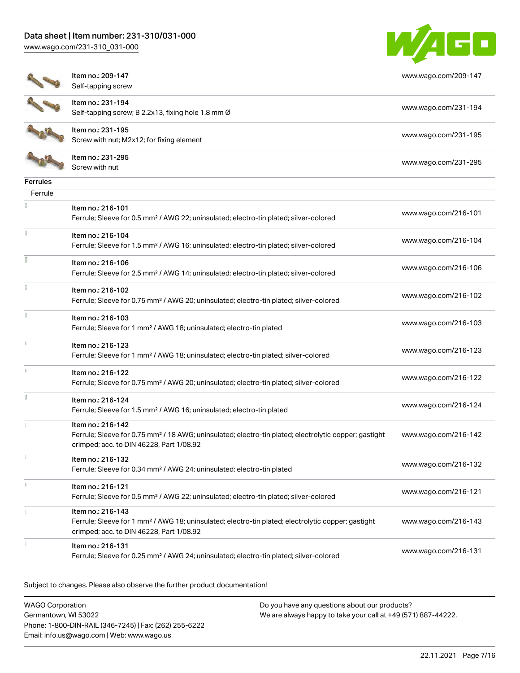[www.wago.com/231-310\\_031-000](http://www.wago.com/231-310_031-000)



[www.wago.com/209-147](http://www.wago.com/209-147)

| ٠<br>j |  |
|--------|--|
| ٦<br>T |  |
|        |  |

Item no.: 209-147 Self-tapping screw

Item no.: 231-194



Self-tapping screw; B 2.2x13, fixing hole 1.8 mm Ø [www.wago.com/231-194](http://www.wago.com/231-194) Item no.: 231-195 Nettrition: 231-195<br>Screw with nut; M2x12; for fixing element [www.wago.com/231-195](http://www.wago.com/231-195)

Item no.: 231-295 Neth Holl 231-233<br>Screw with nut [www.wago.com/231-295](http://www.wago.com/231-295)

| www.wago.com/216-101 |
|----------------------|
| www.wago.com/216-104 |
| www.wago.com/216-106 |
| www.wago.com/216-102 |
| www.wago.com/216-103 |
| www.wago.com/216-123 |
| www.wago.com/216-122 |
| www.wago.com/216-124 |
| www.wago.com/216-142 |
| www.wago.com/216-132 |
| www.wago.com/216-121 |
| www.wago.com/216-143 |
| www.wago.com/216-131 |
|                      |

Subject to changes. Please also observe the further product documentation!

WAGO Corporation Germantown, WI 53022 Phone: 1-800-DIN-RAIL (346-7245) | Fax: (262) 255-6222 Email: info.us@wago.com | Web: www.wago.us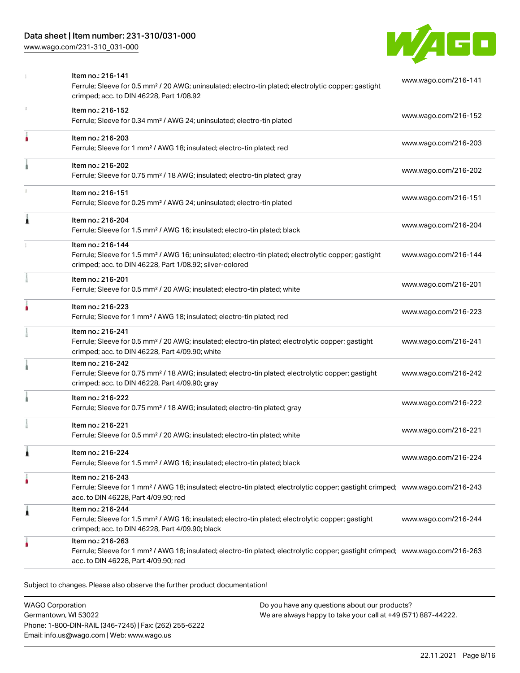## Data sheet | Item number: 231-310/031-000

[www.wago.com/231-310\\_031-000](http://www.wago.com/231-310_031-000)



|    | Item no.: 216-141<br>Ferrule; Sleeve for 0.5 mm <sup>2</sup> / 20 AWG; uninsulated; electro-tin plated; electrolytic copper; gastight<br>crimped; acc. to DIN 46228, Part 1/08.92                       | www.wago.com/216-141 |
|----|---------------------------------------------------------------------------------------------------------------------------------------------------------------------------------------------------------|----------------------|
| r. | Item no.: 216-152<br>Ferrule; Sleeve for 0.34 mm <sup>2</sup> / AWG 24; uninsulated; electro-tin plated                                                                                                 | www.wago.com/216-152 |
|    | Item no.: 216-203<br>Ferrule; Sleeve for 1 mm <sup>2</sup> / AWG 18; insulated; electro-tin plated; red                                                                                                 | www.wago.com/216-203 |
|    | Item no.: 216-202<br>Ferrule; Sleeve for 0.75 mm <sup>2</sup> / 18 AWG; insulated; electro-tin plated; gray                                                                                             | www.wago.com/216-202 |
|    | Item no.: 216-151<br>Ferrule; Sleeve for 0.25 mm <sup>2</sup> / AWG 24; uninsulated; electro-tin plated                                                                                                 | www.wago.com/216-151 |
|    | Item no.: 216-204<br>Ferrule; Sleeve for 1.5 mm <sup>2</sup> / AWG 16; insulated; electro-tin plated; black                                                                                             | www.wago.com/216-204 |
|    | Item no.: 216-144<br>Ferrule; Sleeve for 1.5 mm <sup>2</sup> / AWG 16; uninsulated; electro-tin plated; electrolytic copper; gastight<br>crimped; acc. to DIN 46228, Part 1/08.92; silver-colored       | www.wago.com/216-144 |
|    | Item no.: 216-201<br>Ferrule; Sleeve for 0.5 mm <sup>2</sup> / 20 AWG; insulated; electro-tin plated; white                                                                                             | www.wago.com/216-201 |
|    | Item no.: 216-223<br>Ferrule; Sleeve for 1 mm <sup>2</sup> / AWG 18; insulated; electro-tin plated; red                                                                                                 | www.wago.com/216-223 |
|    | Item no.: 216-241<br>Ferrule; Sleeve for 0.5 mm <sup>2</sup> / 20 AWG; insulated; electro-tin plated; electrolytic copper; gastight<br>crimped; acc. to DIN 46228, Part 4/09.90; white                  | www.wago.com/216-241 |
|    | Item no.: 216-242<br>Ferrule; Sleeve for 0.75 mm <sup>2</sup> / 18 AWG; insulated; electro-tin plated; electrolytic copper; gastight<br>crimped; acc. to DIN 46228, Part 4/09.90; gray                  | www.wago.com/216-242 |
|    | Item no.: 216-222<br>Ferrule; Sleeve for 0.75 mm <sup>2</sup> / 18 AWG; insulated; electro-tin plated; gray                                                                                             | www.wago.com/216-222 |
|    | Item no.: 216-221<br>Ferrule; Sleeve for 0.5 mm <sup>2</sup> / 20 AWG; insulated; electro-tin plated; white                                                                                             | www.wago.com/216-221 |
|    | Item no.: 216-224<br>Ferrule; Sleeve for 1.5 mm <sup>2</sup> / AWG 16; insulated; electro-tin plated; black                                                                                             | www.wago.com/216-224 |
|    | Item no.: 216-243<br>Ferrule; Sleeve for 1 mm <sup>2</sup> / AWG 18; insulated; electro-tin plated; electrolytic copper; gastight crimped; www.wago.com/216-243<br>acc. to DIN 46228, Part 4/09.90; red |                      |
| 1  | Item no.: 216-244<br>Ferrule; Sleeve for 1.5 mm <sup>2</sup> / AWG 16; insulated; electro-tin plated; electrolytic copper; gastight<br>crimped; acc. to DIN 46228, Part 4/09.90; black                  | www.wago.com/216-244 |
|    | Item no.: 216-263<br>Ferrule; Sleeve for 1 mm <sup>2</sup> / AWG 18; insulated; electro-tin plated; electrolytic copper; gastight crimped; www.wago.com/216-263<br>acc. to DIN 46228, Part 4/09.90; red |                      |

Subject to changes. Please also observe the further product documentation!

WAGO Corporation Germantown, WI 53022 Phone: 1-800-DIN-RAIL (346-7245) | Fax: (262) 255-6222 Email: info.us@wago.com | Web: www.wago.us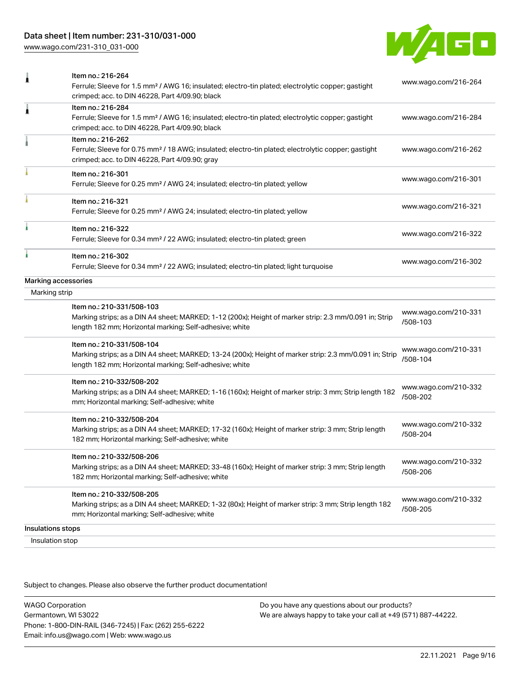## Data sheet | Item number: 231-310/031-000

[www.wago.com/231-310\\_031-000](http://www.wago.com/231-310_031-000)



| 1                 | Item no.: 216-264<br>Ferrule; Sleeve for 1.5 mm <sup>2</sup> / AWG 16; insulated; electro-tin plated; electrolytic copper; gastight<br>crimped; acc. to DIN 46228, Part 4/09.90; black          | www.wago.com/216-264             |
|-------------------|-------------------------------------------------------------------------------------------------------------------------------------------------------------------------------------------------|----------------------------------|
| Â                 | Item no.: 216-284<br>Ferrule; Sleeve for 1.5 mm <sup>2</sup> / AWG 16; insulated; electro-tin plated; electrolytic copper; gastight<br>crimped; acc. to DIN 46228, Part 4/09.90; black          | www.wago.com/216-284             |
|                   | Item no.: 216-262<br>Ferrule; Sleeve for 0.75 mm <sup>2</sup> / 18 AWG; insulated; electro-tin plated; electrolytic copper; gastight<br>crimped; acc. to DIN 46228, Part 4/09.90; gray          | www.wago.com/216-262             |
|                   | Item no.: 216-301<br>Ferrule; Sleeve for 0.25 mm <sup>2</sup> / AWG 24; insulated; electro-tin plated; yellow                                                                                   | www.wago.com/216-301             |
|                   | Item no.: 216-321<br>Ferrule; Sleeve for 0.25 mm <sup>2</sup> / AWG 24; insulated; electro-tin plated; yellow                                                                                   | www.wago.com/216-321             |
| ı                 | Item no.: 216-322<br>Ferrule; Sleeve for 0.34 mm <sup>2</sup> / 22 AWG; insulated; electro-tin plated; green                                                                                    | www.wago.com/216-322             |
|                   | Item no.: 216-302<br>Ferrule; Sleeve for 0.34 mm <sup>2</sup> / 22 AWG; insulated; electro-tin plated; light turquoise                                                                          | www.wago.com/216-302             |
|                   | Marking accessories                                                                                                                                                                             |                                  |
| Marking strip     |                                                                                                                                                                                                 |                                  |
|                   | Item no.: 210-331/508-103<br>Marking strips; as a DIN A4 sheet; MARKED; 1-12 (200x); Height of marker strip: 2.3 mm/0.091 in; Strip<br>length 182 mm; Horizontal marking; Self-adhesive; white  | www.wago.com/210-331<br>/508-103 |
|                   | Item no.: 210-331/508-104<br>Marking strips; as a DIN A4 sheet; MARKED; 13-24 (200x); Height of marker strip: 2.3 mm/0.091 in; Strip<br>length 182 mm; Horizontal marking; Self-adhesive; white | www.wago.com/210-331<br>/508-104 |
|                   | Item no.: 210-332/508-202<br>Marking strips; as a DIN A4 sheet; MARKED; 1-16 (160x); Height of marker strip: 3 mm; Strip length 182<br>mm; Horizontal marking; Self-adhesive; white             | www.wago.com/210-332<br>/508-202 |
|                   | Item no.: 210-332/508-204<br>Marking strips; as a DIN A4 sheet; MARKED; 17-32 (160x); Height of marker strip: 3 mm; Strip length<br>182 mm; Horizontal marking; Self-adhesive; white            | www.wago.com/210-332<br>/508-204 |
|                   | Item no.: 210-332/508-206<br>Marking strips; as a DIN A4 sheet; MARKED; 33-48 (160x); Height of marker strip: 3 mm; Strip length<br>182 mm; Horizontal marking; Self-adhesive; white            | www.wago.com/210-332<br>/508-206 |
|                   | Item no.: 210-332/508-205<br>Marking strips; as a DIN A4 sheet; MARKED; 1-32 (80x); Height of marker strip: 3 mm; Strip length 182<br>mm; Horizontal marking; Self-adhesive; white              | www.wago.com/210-332<br>/508-205 |
| Insulations stops |                                                                                                                                                                                                 |                                  |
| Insulation stop   |                                                                                                                                                                                                 |                                  |
|                   |                                                                                                                                                                                                 |                                  |

Subject to changes. Please also observe the further product documentation!

WAGO Corporation Germantown, WI 53022 Phone: 1-800-DIN-RAIL (346-7245) | Fax: (262) 255-6222 Email: info.us@wago.com | Web: www.wago.us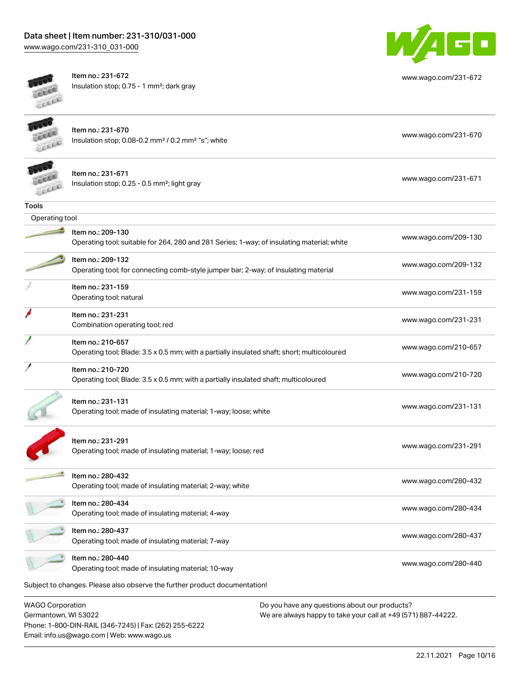## Data sheet | Item number: 231-310/031-000

[www.wago.com/231-310\\_031-000](http://www.wago.com/231-310_031-000)



Item no.: 231-672 Insulation stop; 0.75 - 1 mm²; dark gray



[www.wago.com/231-672](http://www.wago.com/231-672)

Item no.: 231-670 Insulation stop; 0.08-0.2 mm<sup>2</sup>/0.2 mm<sup>2</sup> "s"; white [www.wago.com/231-670](http://www.wago.com/231-670) www.wago.com/231-670

| li |
|----|
| lı |
|    |

|                | Item no.: 231-671                                                                           |                      |
|----------------|---------------------------------------------------------------------------------------------|----------------------|
|                | Insulation stop; 0.25 - 0.5 mm <sup>2</sup> ; light gray                                    | www.wago.com/231-671 |
| <b>Tools</b>   |                                                                                             |                      |
| Operating tool |                                                                                             |                      |
|                | Item no.: 209-130                                                                           |                      |
|                | Operating tool; suitable for 264, 280 and 281 Series; 1-way; of insulating material; white  | www.wago.com/209-130 |
|                | Item no.: 209-132                                                                           |                      |
|                | Operating tool; for connecting comb-style jumper bar; 2-way; of insulating material         | www.wago.com/209-132 |
|                | Item no.: 231-159                                                                           |                      |
|                | Operating tool; natural                                                                     | www.wago.com/231-159 |
|                | Item no.: 231-231                                                                           |                      |
|                | Combination operating tool; red                                                             | www.wago.com/231-231 |
|                | Item no.: 210-657                                                                           |                      |
|                | Operating tool; Blade: 3.5 x 0.5 mm; with a partially insulated shaft; short; multicoloured | www.wago.com/210-657 |
|                | Item no.: 210-720                                                                           |                      |
|                | Operating tool; Blade: 3.5 x 0.5 mm; with a partially insulated shaft; multicoloured        | www.wago.com/210-720 |
|                |                                                                                             |                      |
|                | Item no.: 231-131                                                                           | www.wago.com/231-131 |
|                | Operating tool; made of insulating material; 1-way; loose; white                            |                      |
|                |                                                                                             |                      |
|                | Item no.: 231-291                                                                           |                      |

Networks: 201251<br>Operating tool; made of insulating material; 1-way; loose; red [www.wago.com/231-291](http://www.wago.com/231-291) Item no.: 280-432 Operating tool; made of insulating material; 2-way; white [www.wago.com/280-432](http://www.wago.com/280-432) www.wago.com/280-432 Item no.: 280-434 Next the second of the second of insulating material; 4-way [www.wago.com/280-434](http://www.wago.com/280-434)<br>Operating tool; made of insulating material; 4-way Item no.: 280-437 Next the second of the second of insulating material; 7-way [www.wago.com/280-437](http://www.wago.com/280-437)<br>Operating tool; made of insulating material; 7-way Item no.: 280-440

Next the 200 440<br>Operating tool; made of insulating material; 10-way [www.wago.com/280-440](http://www.wago.com/280-440)

Subject to changes. Please also observe the further product documentation!

WAGO Corporation Germantown, WI 53022 Phone: 1-800-DIN-RAIL (346-7245) | Fax: (262) 255-6222 Email: info.us@wago.com | Web: www.wago.us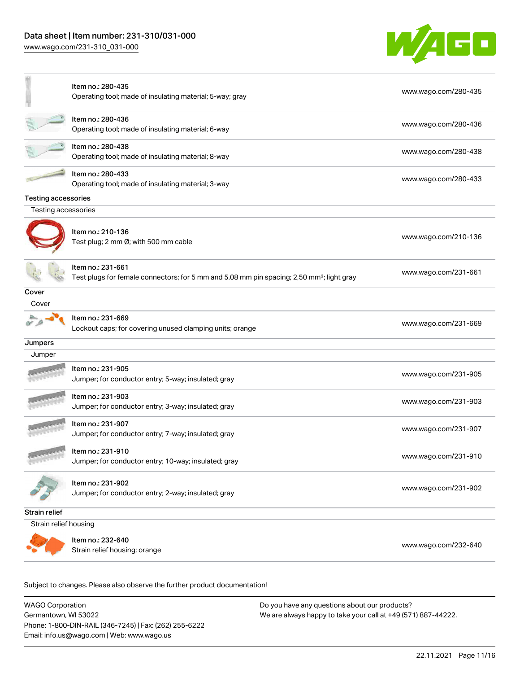[www.wago.com/231-310\\_031-000](http://www.wago.com/231-310_031-000)



|                            | Item no.: 280-435<br>Operating tool; made of insulating material; 5-way; gray                                              | www.wago.com/280-435 |
|----------------------------|----------------------------------------------------------------------------------------------------------------------------|----------------------|
|                            | Item no.: 280-436<br>Operating tool; made of insulating material; 6-way                                                    | www.wago.com/280-436 |
|                            | Item no.: 280-438<br>Operating tool; made of insulating material; 8-way                                                    | www.wago.com/280-438 |
|                            | Item no.: 280-433<br>Operating tool; made of insulating material; 3-way                                                    | www.wago.com/280-433 |
| <b>Testing accessories</b> |                                                                                                                            |                      |
| Testing accessories        |                                                                                                                            |                      |
|                            | Item no.: 210-136<br>Test plug; 2 mm Ø; with 500 mm cable                                                                  | www.wago.com/210-136 |
|                            | ltem no.: 231-661<br>Test plugs for female connectors; for 5 mm and 5.08 mm pin spacing; 2,50 mm <sup>2</sup> ; light gray | www.wago.com/231-661 |
| Cover                      |                                                                                                                            |                      |
| Cover                      |                                                                                                                            |                      |
|                            | Item no.: 231-669<br>Lockout caps; for covering unused clamping units; orange                                              | www.wago.com/231-669 |
| Jumpers                    |                                                                                                                            |                      |
| Jumper                     |                                                                                                                            |                      |
|                            | Item no.: 231-905<br>Jumper; for conductor entry; 5-way; insulated; gray                                                   | www.wago.com/231-905 |
|                            | Item no.: 231-903<br>Jumper; for conductor entry; 3-way; insulated; gray                                                   | www.wago.com/231-903 |
|                            | Item no.: 231-907<br>Jumper; for conductor entry; 7-way; insulated; gray                                                   | www.wago.com/231-907 |
|                            | Item no.: 231-910<br>Jumper; for conductor entry; 10-way; insulated; gray                                                  | www.wago.com/231-910 |
|                            | Item no.: 231-902<br>Jumper; for conductor entry; 2-way; insulated; gray                                                   | www.wago.com/231-902 |
| <b>Strain relief</b>       |                                                                                                                            |                      |
| Strain relief housing      |                                                                                                                            |                      |
|                            | Item no.: 232-640<br>Strain relief housing; orange                                                                         | www.wago.com/232-640 |
|                            |                                                                                                                            |                      |

Subject to changes. Please also observe the further product documentation!

WAGO Corporation Germantown, WI 53022 Phone: 1-800-DIN-RAIL (346-7245) | Fax: (262) 255-6222 Email: info.us@wago.com | Web: www.wago.us Do you have any questions about our products? We are always happy to take your call at +49 (571) 887-44222.

22.11.2021 Page 11/16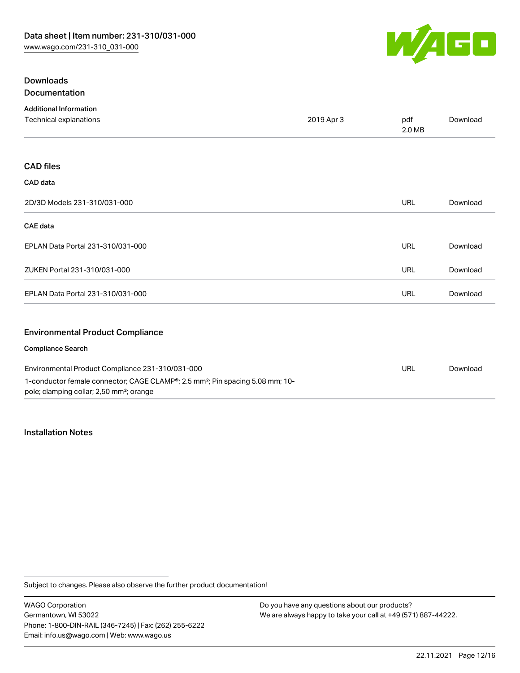

### Downloads Documentation

| <b>Additional Information</b>                    |            |               |          |
|--------------------------------------------------|------------|---------------|----------|
| Technical explanations                           | 2019 Apr 3 | pdf<br>2.0 MB | Download |
|                                                  |            |               |          |
| <b>CAD files</b>                                 |            |               |          |
| CAD data                                         |            |               |          |
| 2D/3D Models 231-310/031-000                     |            | <b>URL</b>    | Download |
| <b>CAE</b> data                                  |            |               |          |
| EPLAN Data Portal 231-310/031-000                |            | <b>URL</b>    | Download |
| ZUKEN Portal 231-310/031-000                     |            | <b>URL</b>    | Download |
| EPLAN Data Portal 231-310/031-000                |            | <b>URL</b>    | Download |
| <b>Environmental Product Compliance</b>          |            |               |          |
| <b>Compliance Search</b>                         |            |               |          |
| Environmental Product Compliance 231-310/031-000 |            | URL           | Download |

# 1-conductor female connector; CAGE CLAMP®; 2.5 mm²; Pin spacing 5.08 mm; 10 pole; clamping collar; 2,50 mm²; orange

#### Installation Notes

Subject to changes. Please also observe the further product documentation!

WAGO Corporation Germantown, WI 53022 Phone: 1-800-DIN-RAIL (346-7245) | Fax: (262) 255-6222 Email: info.us@wago.com | Web: www.wago.us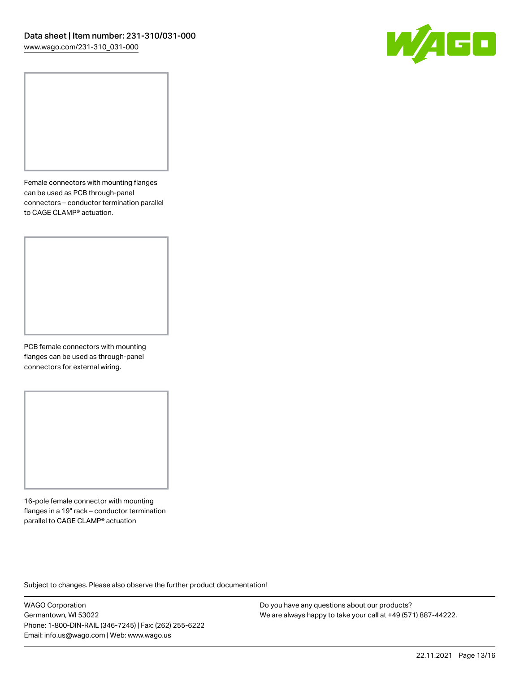

Female connectors with mounting flanges can be used as PCB through-panel connectors – conductor termination parallel to CAGE CLAMP® actuation.

PCB female connectors with mounting flanges can be used as through-panel connectors for external wiring.

16-pole female connector with mounting flanges in a 19" rack – conductor termination parallel to CAGE CLAMP® actuation

Subject to changes. Please also observe the further product documentation!

WAGO Corporation Germantown, WI 53022 Phone: 1-800-DIN-RAIL (346-7245) | Fax: (262) 255-6222 Email: info.us@wago.com | Web: www.wago.us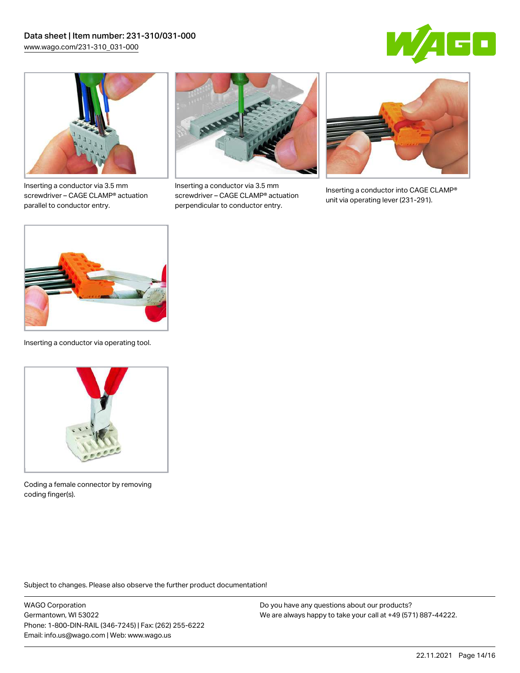



Inserting a conductor via 3.5 mm screwdriver – CAGE CLAMP® actuation parallel to conductor entry.



Inserting a conductor via 3.5 mm screwdriver – CAGE CLAMP® actuation perpendicular to conductor entry.



Inserting a conductor into CAGE CLAMP® unit via operating lever (231-291).



Inserting a conductor via operating tool.



Coding a female connector by removing coding finger(s).

Subject to changes. Please also observe the further product documentation!

WAGO Corporation Germantown, WI 53022 Phone: 1-800-DIN-RAIL (346-7245) | Fax: (262) 255-6222 Email: info.us@wago.com | Web: www.wago.us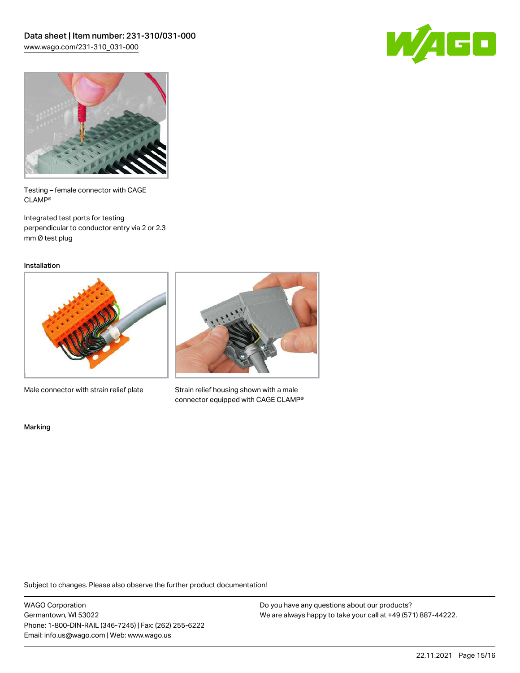



Testing – female connector with CAGE CLAMP®

Integrated test ports for testing perpendicular to conductor entry via 2 or 2.3 mm Ø test plug

Installation



Male connector with strain relief plate



Strain relief housing shown with a male connector equipped with CAGE CLAMP®

Marking

Subject to changes. Please also observe the further product documentation!

WAGO Corporation Germantown, WI 53022 Phone: 1-800-DIN-RAIL (346-7245) | Fax: (262) 255-6222 Email: info.us@wago.com | Web: www.wago.us